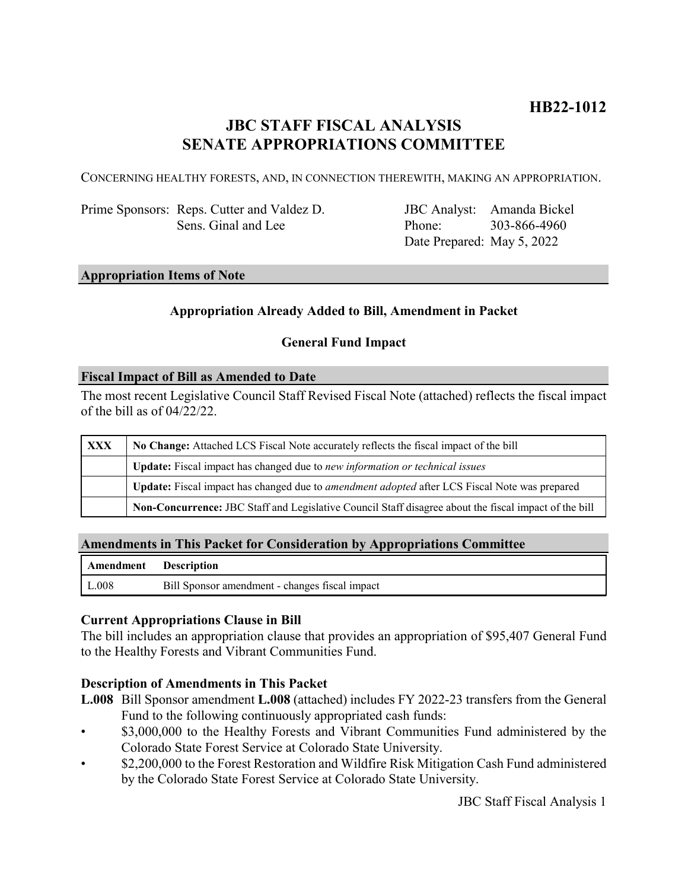# **HB22-1012**

# **JBC STAFF FISCAL ANALYSIS SENATE APPROPRIATIONS COMMITTEE**

CONCERNING HEALTHY FORESTS, AND, IN CONNECTION THEREWITH, MAKING AN APPROPRIATION.

Prime Sponsors: Reps. Cutter and Valdez D. Sens. Ginal and Lee

JBC Analyst: Amanda Bickel Phone: Date Prepared: May 5, 2022 303-866-4960

#### **Appropriation Items of Note**

### **Appropriation Already Added to Bill, Amendment in Packet**

#### **General Fund Impact**

#### **Fiscal Impact of Bill as Amended to Date**

The most recent Legislative Council Staff Revised Fiscal Note (attached) reflects the fiscal impact of the bill as of 04/22/22.

| <b>XXX</b> | No Change: Attached LCS Fiscal Note accurately reflects the fiscal impact of the bill                       |
|------------|-------------------------------------------------------------------------------------------------------------|
|            | <b>Update:</b> Fiscal impact has changed due to new information or technical issues                         |
|            | <b>Update:</b> Fiscal impact has changed due to <i>amendment adopted</i> after LCS Fiscal Note was prepared |
|            | Non-Concurrence: JBC Staff and Legislative Council Staff disagree about the fiscal impact of the bill       |

#### **Amendments in This Packet for Consideration by Appropriations Committee**

| Amendment Description |                                                |
|-----------------------|------------------------------------------------|
| $\mathsf{L}.008$      | Bill Sponsor amendment - changes fiscal impact |

#### **Current Appropriations Clause in Bill**

The bill includes an appropriation clause that provides an appropriation of \$95,407 General Fund to the Healthy Forests and Vibrant Communities Fund.

#### **Description of Amendments in This Packet**

- **L.008** Bill Sponsor amendment **L.008** (attached) includes FY 2022-23 transfers from the General Fund to the following continuously appropriated cash funds:
- \$3,000,000 to the Healthy Forests and Vibrant Communities Fund administered by the Colorado State Forest Service at Colorado State University.
- \$2,200,000 to the Forest Restoration and Wildfire Risk Mitigation Cash Fund administered by the Colorado State Forest Service at Colorado State University.